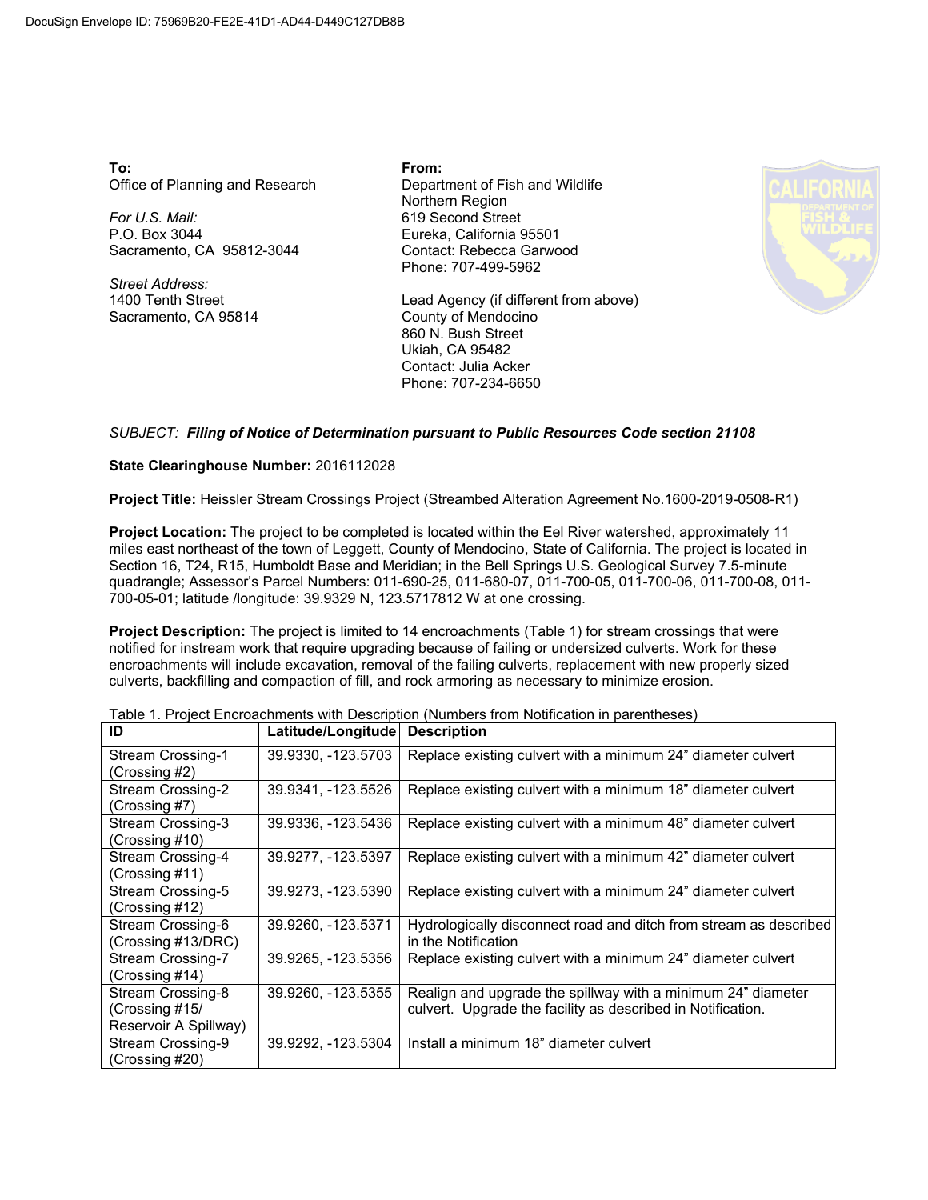**To:** Office of Planning and Research

*For U.S. Mail:* P.O. Box 3044 Sacramento, CA 95812-3044

*Street Address:* 1400 Tenth Street Sacramento, CA 95814 **From:** Department of Fish and Wildlife Northern Region 619 Second Street Eureka, California 95501 Contact: Rebecca Garwood Phone: 707-499-5962

Lead Agency (if different from above) County of Mendocino 860 N. Bush Street Ukiah, CA 95482 Contact: Julia Acker Phone: 707-234-6650



## *SUBJECT: Filing of Notice of Determination pursuant to Public Resources Code section 21108*

## **State Clearinghouse Number:** 2016112028

**Project Title:** Heissler Stream Crossings Project (Streambed Alteration Agreement No.1600-2019-0508-R1)

**Project Location:** The project to be completed is located within the Eel River watershed, approximately 11 miles east northeast of the town of Leggett, County of Mendocino, State of California. The project is located in Section 16, T24, R15, Humboldt Base and Meridian; in the Bell Springs U.S. Geological Survey 7.5-minute quadrangle; Assessor's Parcel Numbers: 011-690-25, 011-680-07, 011-700-05, 011-700-06, 011-700-08, 011- 700-05-01; latitude /longitude: 39.9329 N, 123.5717812 W at one crossing.

**Project Description:** The project is limited to 14 encroachments (Table 1) for stream crossings that were notified for instream work that require upgrading because of failing or undersized culverts. Work for these encroachments will include excavation, removal of the failing culverts, replacement with new properly sized culverts, backfilling and compaction of fill, and rock armoring as necessary to minimize erosion.

| ID                       | Latitude/Longitude | <b>Description</b>                                                |
|--------------------------|--------------------|-------------------------------------------------------------------|
| <b>Stream Crossing-1</b> | 39.9330, -123.5703 | Replace existing culvert with a minimum 24" diameter culvert      |
| (Crossing #2)            |                    |                                                                   |
| Stream Crossing-2        | 39.9341, -123.5526 | Replace existing culvert with a minimum 18" diameter culvert      |
| (Crossing #7)            |                    |                                                                   |
| Stream Crossing-3        | 39.9336, -123.5436 | Replace existing culvert with a minimum 48" diameter culvert      |
| (Crossing #10)           |                    |                                                                   |
| Stream Crossing-4        | 39.9277, -123.5397 | Replace existing culvert with a minimum 42" diameter culvert      |
| (Crossing #11)           |                    |                                                                   |
| Stream Crossing-5        | 39.9273, -123.5390 | Replace existing culvert with a minimum 24" diameter culvert      |
| (Crossing #12)           |                    |                                                                   |
| Stream Crossing-6        | 39.9260, -123.5371 | Hydrologically disconnect road and ditch from stream as described |
| (Crossing #13/DRC)       |                    | in the Notification                                               |
| Stream Crossing-7        | 39.9265, -123.5356 | Replace existing culvert with a minimum 24" diameter culvert      |
| (Crossing #14)           |                    |                                                                   |
| Stream Crossing-8        | 39.9260, -123.5355 | Realign and upgrade the spillway with a minimum 24" diameter      |
| (Crossing #15/           |                    | culvert. Upgrade the facility as described in Notification.       |
| Reservoir A Spillway)    |                    |                                                                   |
| Stream Crossing-9        | 39.9292, -123.5304 | Install a minimum 18" diameter culvert                            |
| (Crossing #20)           |                    |                                                                   |

Table 1. Project Encroachments with Description (Numbers from Notification in parentheses)